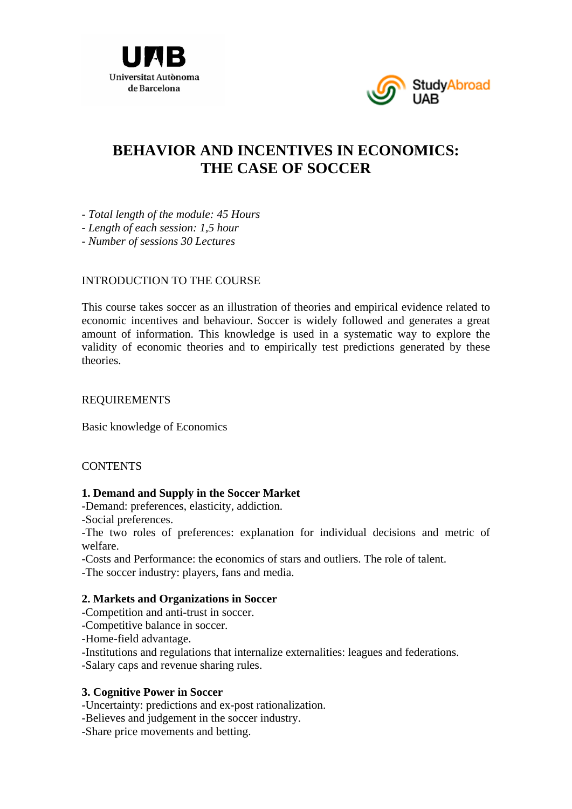



# **BEHAVIOR AND INCENTIVES IN ECONOMICS: THE CASE OF SOCCER**

*- Total length of the module: 45 Hours* 

*- Length of each session: 1,5 hour* 

*- Number of sessions 30 Lectures* 

## INTRODUCTION TO THE COURSE

This course takes soccer as an illustration of theories and empirical evidence related to economic incentives and behaviour. Soccer is widely followed and generates a great amount of information. This knowledge is used in a systematic way to explore the validity of economic theories and to empirically test predictions generated by these theories.

## REQUIREMENTS

Basic knowledge of Economics

## **CONTENTS**

#### **1. Demand and Supply in the Soccer Market**

-Demand: preferences, elasticity, addiction.

-Social preferences.

-The two roles of preferences: explanation for individual decisions and metric of welfare.

-Costs and Performance: the economics of stars and outliers. The role of talent.

-The soccer industry: players, fans and media.

## **2. Markets and Organizations in Soccer**

- -Competition and anti-trust in soccer.
- -Competitive balance in soccer.
- -Home-field advantage.
- -Institutions and regulations that internalize externalities: leagues and federations.

-Salary caps and revenue sharing rules.

## **3. Cognitive Power in Soccer**

- -Uncertainty: predictions and ex-post rationalization.
- -Believes and judgement in the soccer industry.
- -Share price movements and betting.